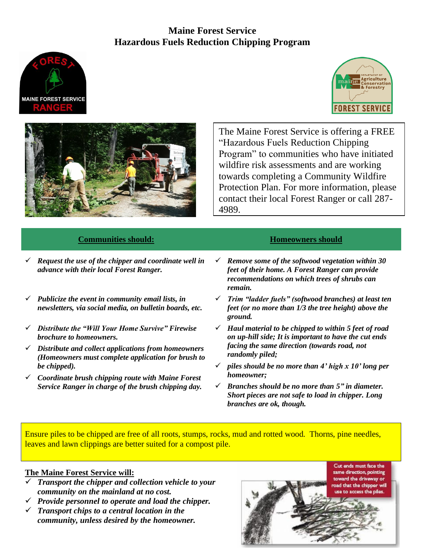# **Maine Forest Service Hazardous Fuels Reduction Chipping Program**







The Maine Forest Service is offering a FREE "Hazardous Fuels Reduction Chipping Program" to communities who have initiated wildfire risk assessments and are working towards completing a Community Wildfire Protection Plan. For more information, please contact their local Forest Ranger or call 287- 4989.

## **Communities should: Homeowners should**

- ✓ *Request the use of the chipper and coordinate well in advance with their local Forest Ranger.*
- ✓ *Publicize the event in community email lists, in newsletters, via social media, on bulletin boards, etc.*
- ✓ *Distribute the "Will Your Home Survive" Firewise brochure to homeowners.*
- ✓ *Distribute and collect applications from homeowners (Homeowners must complete application for brush to be chipped).*
- ✓ *Coordinate brush chipping route with Maine Forest Service Ranger in charge of the brush chipping day.*

- ✓ *Remove some of the softwood vegetation within 30 feet of their home. A Forest Ranger can provide recommendations on which trees of shrubs can remain.*
- ✓ *Trim "ladder fuels" (softwood branches) at least ten feet (or no more than 1/3 the tree height) above the ground.*
- ✓ *Haul material to be chipped to within 5 feet of road on up-hill side; It is important to have the cut ends facing the same direction (towards road, not randomly piled;*
- ✓ *piles should be no more than 4' high x 10' long per homeowner;*
- ✓ *Branches should be no more than 5" in diameter. Short pieces are not safe to load in chipper. Long branches are ok, though.*

Ensure piles to be chipped are free of all roots, stumps, rocks, mud and rotted wood. Thorns, pine needles, leaves and lawn clippings are better suited for a compost pile.

### **The Maine Forest Service will:**

- ✓ *Transport the chipper and collection vehicle to your community on the mainland at no cost.*
- ✓ *Provide personnel to operate and load the chipper.* ✓ *Transport chips to a central location in the community, unless desired by the homeowner.*